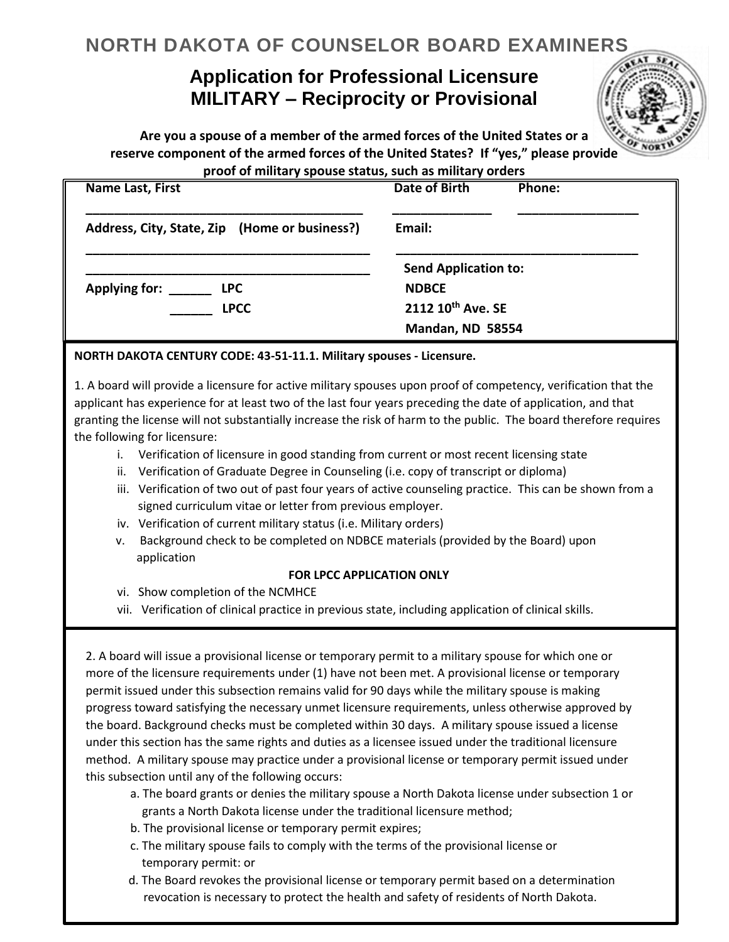# **NORTH DAKOTA OF COUNSELOR BOARD EXAMINERS**

## **Application for Professional Licensure MILITARY – Reciprocity or Provisional**

**Are you a spouse of a member of the armed forces of the United States or a reserve component of the armed forces of the United States? If "yes," please provide proof of military spouse status, such as military orders**

| Name Last, First                              | <b>Date of Birth</b><br>Phone: |
|-----------------------------------------------|--------------------------------|
| Address, City, State, Zip (Home or business?) | Email:                         |
|                                               | <b>Send Application to:</b>    |
| <b>Applying for:</b><br><b>LPC</b>            | <b>NDBCE</b>                   |
| <b>LPCC</b>                                   | 2112 10th Ave. SE              |
|                                               | Mandan, ND 58554               |

#### **NORTH DAKOTA CENTURY CODE: 43-51-11.1. Military spouses - Licensure.**

1. A board will provide a licensure for active military spouses upon proof of competency, verification that the applicant has experience for at least two of the last four years preceding the date of application, and that granting the license will not substantially increase the risk of harm to the public. The board therefore requires the following for licensure:

- i. Verification of licensure in good standing from current or most recent licensing state
- ii. Verification of Graduate Degree in Counseling (i.e. copy of transcript or diploma)
- iii. Verification of two out of past four years of active counseling practice. This can be shown from a signed curriculum vitae or letter from previous employer.
- iv. Verification of current military status (i.e. Military orders)
- v. Background check to be completed on NDBCE materials (provided by the Board) upon application

#### **FOR LPCC APPLICATION ONLY**

- vi. Show completion of the NCMHCE
- vii. Verification of clinical practice in previous state, including application of clinical skills.

2. A board will issue a provisional license or temporary permit to a military spouse for which one or more of the licensure requirements under (1) have not been met. A provisional license or temporary permit issued under this subsection remains valid for 90 days while the military spouse is making progress toward satisfying the necessary unmet licensure requirements, unless otherwise approved by the board. Background checks must be completed within 30 days. A military spouse issued a license under this section has the same rights and duties as a licensee issued under the traditional licensure method. A military spouse may practice under a provisional license or temporary permit issued under this subsection until any of the following occurs:

- a. The board grants or denies the military spouse a North Dakota license under subsection 1 or grants a North Dakota license under the traditional licensure method;
- b. The provisional license or temporary permit expires;
- c. The military spouse fails to comply with the terms of the provisional license or temporary permit: or
- d. The Board revokes the provisional license or temporary permit based on a determination revocation is necessary to protect the health and safety of residents of North Dakota.